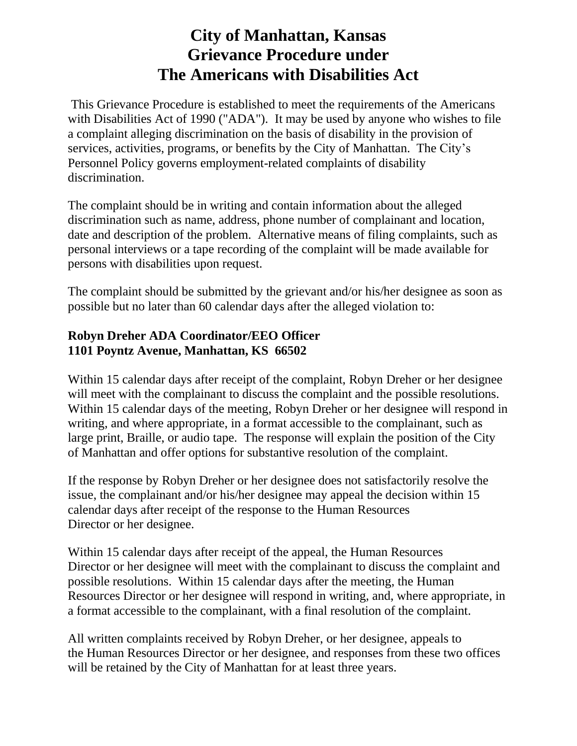## **City of Manhattan, Kansas Grievance Procedure under The Americans with Disabilities Act**

This Grievance Procedure is established to meet the requirements of the Americans with Disabilities Act of 1990 ("ADA"). It may be used by anyone who wishes to file a complaint alleging discrimination on the basis of disability in the provision of services, activities, programs, or benefits by the City of Manhattan. The City's Personnel Policy governs employment-related complaints of disability discrimination.

The complaint should be in writing and contain information about the alleged discrimination such as name, address, phone number of complainant and location, date and description of the problem. Alternative means of filing complaints, such as personal interviews or a tape recording of the complaint will be made available for persons with disabilities upon request.

The complaint should be submitted by the grievant and/or his/her designee as soon as possible but no later than 60 calendar days after the alleged violation to:

## **Robyn Dreher ADA Coordinator/EEO Officer 1101 Poyntz Avenue, Manhattan, KS 66502**

Within 15 calendar days after receipt of the complaint, Robyn Dreher or her designee will meet with the complainant to discuss the complaint and the possible resolutions. Within 15 calendar days of the meeting, Robyn Dreher or her designee will respond in writing, and where appropriate, in a format accessible to the complainant, such as large print, Braille, or audio tape. The response will explain the position of the City of Manhattan and offer options for substantive resolution of the complaint.

If the response by Robyn Dreher or her designee does not satisfactorily resolve the issue, the complainant and/or his/her designee may appeal the decision within 15 calendar days after receipt of the response to the Human Resources Director or her designee.

Within 15 calendar days after receipt of the appeal, the Human Resources Director or her designee will meet with the complainant to discuss the complaint and possible resolutions. Within 15 calendar days after the meeting, the Human Resources Director or her designee will respond in writing, and, where appropriate, in a format accessible to the complainant, with a final resolution of the complaint.

All written complaints received by Robyn Dreher, or her designee, appeals to the Human Resources Director or her designee, and responses from these two offices will be retained by the City of Manhattan for at least three years.